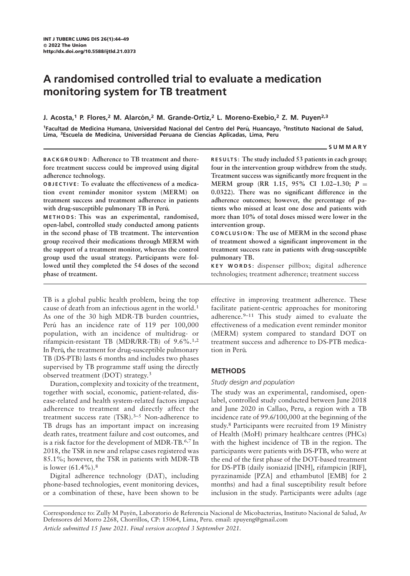# A randomised controlled trial to evaluate a medication monitoring system for TB treatment

## J. Acosta,<sup>1</sup> P. Flores,<sup>2</sup> M. Alarcón,<sup>2</sup> M. Grande-Ortiz,<sup>2</sup> L. Moreno-Exebio,<sup>2</sup> Z. M. Puyen<sup>2,3</sup>

<sup>1</sup>Facultad de Medicina Humana, Universidad Nacional del Centro del Perú, Huancayo, <sup>2</sup>Instituto Nacional de Salud, Lima, 3Escuela de Medicina, Universidad Peruana de Ciencias Aplicadas, Lima, Peru

#### **SUMMARY**

BACKGROUND: Adherence to TB treatment and therefore treatment success could be improved using digital adherence technology.

OBJECTIVE: To evaluate the effectiveness of a medication event reminder monitor system (MERM) on treatment success and treatment adherence in patients with drug-susceptible pulmonary TB in Perú.

METHODS: This was an experimental, randomised, open-label, controlled study conducted among patients in the second phase of TB treatment. The intervention group received their medications through MERM with the support of a treatment monitor, whereas the control group used the usual strategy. Participants were followed until they completed the 54 doses of the second phase of treatment.

TB is a global public health problem, being the top cause of death from an infectious agent in the world.<sup>1</sup> As one of the 30 high MDR-TB burden countries, Perú has an incidence rate of 119 per 100,000 population, with an incidence of multidrug- or rifampicin-resistant TB (MDR/RR-TB) of 9.6%.1,2 In Perú, the treatment for drug-susceptible pulmonary TB (DS-PTB) lasts 6 months and includes two phases supervised by TB programme staff using the directly observed treatment (DOT) strategy.3

Duration, complexity and toxicity of the treatment, together with social, economic, patient-related, disease-related and health system-related factors impact adherence to treatment and directly affect the treatment success rate  $(TSR)$ .<sup>3-5</sup> Non-adherence to TB drugs has an important impact on increasing death rates, treatment failure and cost outcomes, and is a risk factor for the development of MDR-TB.6,7 In 2018, the TSR in new and relapse cases registered was 85.1%; however, the TSR in patients with MDR-TB is lower  $(61.4\%)$ .<sup>8</sup>

Digital adherence technology (DAT), including phone-based technologies, event monitoring devices, or a combination of these, have been shown to be RESULTS: The study included 53 patients in each group; four in the intervention group withdrew from the study. Treatment success was significantly more frequent in the MERM group (RR 1.15, 95% CI 1.02-1.30;  $P =$ 0.0322). There was no significant difference in the adherence outcomes; however, the percentage of patients who missed at least one dose and patients with more than 10% of total doses missed were lower in the intervention group.

CONCLUSION: The use of MERM in the second phase of treatment showed a significant improvement in the treatment success rate in patients with drug-susceptible pulmonary TB.

KEY WORDS: dispenser pillbox; digital adherence technologies; treatment adherence; treatment success

effective in improving treatment adherence. These facilitate patient-centric approaches for monitoring adherence.9–11 This study aimed to evaluate the effectiveness of a medication event reminder monitor (MERM) system compared to standard DOT on treatment success and adherence to DS-PTB medication in Perú.

## **METHODS**

## Study design and population

The study was an experimental, randomised, openlabel, controlled study conducted between June 2018 and June 2020 in Callao, Peru, a region with a TB incidence rate of 99.6/100,000 at the beginning of the study.8 Participants were recruited from 19 Ministry of Health (MoH) primary healthcare centres (PHCs) with the highest incidence of TB in the region. The participants were patients with DS-PTB, who were at the end of the first phase of the DOT-based treatment for DS-PTB (daily isoniazid [INH], rifampicin [RIF], pyrazinamide [PZA] and ethambutol [EMB] for 2 months) and had a final susceptibility result before inclusion in the study. Participants were adults (age

Correspondence to: Zully M Puyen, Laboratorio de Referencia Nacional de Micobacterias, Instituto Nacional de Salud, Av ´ Defensores del Morro 2268, Chorrillos, CP: 15064, Lima, Peru. email: zpuyeng@gmail.com Article submitted 15 June 2021. Final version accepted 3 September 2021.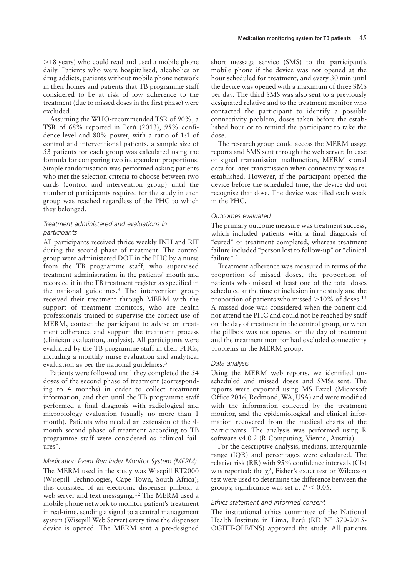$>18$  years) who could read and used a mobile phone daily. Patients who were hospitalised, alcoholics or drug addicts, patients without mobile phone network in their homes and patients that TB programme staff considered to be at risk of low adherence to the treatment (due to missed doses in the first phase) were excluded.

Assuming the WHO-recommended TSR of 90%, a TSR of 68% reported in Perú (2013), 95% confidence level and 80% power, with a ratio of 1:1 of control and interventional patients, a sample size of 53 patients for each group was calculated using the formula for comparing two independent proportions. Simple randomisation was performed asking patients who met the selection criteria to choose between two cards (control and intervention group) until the number of participants required for the study in each group was reached regardless of the PHC to which they belonged.

## Treatment administered and evaluations in participants

All participants received thrice weekly INH and RIF during the second phase of treatment. The control group were administered DOT in the PHC by a nurse from the TB programme staff, who supervised treatment administration in the patients' mouth and recorded it in the TB treatment register as specified in the national guidelines.<sup>3</sup> The intervention group received their treatment through MERM with the support of treatment monitors, who are health professionals trained to supervise the correct use of MERM, contact the participant to advise on treatment adherence and support the treatment process (clinician evaluation, analysis). All participants were evaluated by the TB programme staff in their PHCs, including a monthly nurse evaluation and analytical evaluation as per the national guidelines.<sup>3</sup>

Patients were followed until they completed the 54 doses of the second phase of treatment (corresponding to 4 months) in order to collect treatment information, and then until the TB programme staff performed a final diagnosis with radiological and microbiology evaluation (usually no more than 1 month). Patients who needed an extension of the 4 month second phase of treatment according to TB programme staff were considered as ''clinical failures''.

#### Medication Event Reminder Monitor System (MERM)

The MERM used in the study was Wisepill RT2000 (Wisepill Technologies, Cape Town, South Africa); this consisted of an electronic dispenser pillbox, a web server and text messaging.<sup>12</sup> The MERM used a mobile phone network to monitor patient's treatment in real-time, sending a signal to a central management system (Wisepill Web Server) every time the dispenser device is opened. The MERM sent a pre-designed short message service (SMS) to the participant's mobile phone if the device was not opened at the hour scheduled for treatment, and every 30 min until the device was opened with a maximum of three SMS per day. The third SMS was also sent to a previously designated relative and to the treatment monitor who contacted the participant to identify a possible connectivity problem, doses taken before the established hour or to remind the participant to take the dose.

The research group could access the MERM usage reports and SMS sent through the web server. In case of signal transmission malfunction, MERM stored data for later transmission when connectivity was reestablished. However, if the participant opened the device before the scheduled time, the device did not recognise that dose. The device was filled each week in the PHC.

#### Outcomes evaluated

The primary outcome measure was treatment success, which included patients with a final diagnosis of "cured" or treatment completed, whereas treatment failure included "person lost to follow-up" or "clinical failure".<sup>3</sup>

Treatment adherence was measured in terms of the proportion of missed doses, the proportion of patients who missed at least one of the total doses scheduled at the time of inclusion in the study and the proportion of patients who missed  $>10\%$  of doses.<sup>13</sup> A missed dose was considered when the patient did not attend the PHC and could not be reached by staff on the day of treatment in the control group, or when the pillbox was not opened on the day of treatment and the treatment monitor had excluded connectivity problems in the MERM group.

### Data analysis

Using the MERM web reports, we identified unscheduled and missed doses and SMSs sent. The reports were exported using MS Excel (Microsoft Office 2016, Redmond, WA, USA) and were modified with the information collected by the treatment monitor, and the epidemiological and clinical information recovered from the medical charts of the participants. The analysis was performed using R software v4.0.2 (R Computing, Vienna, Austria).

For the descriptive analysis, medians, interquartile range (IQR) and percentages were calculated. The relative risk (RR) with 95% confidence intervals (CIs) was reported; the  $\chi^2$ , Fisher's exact test or Wilcoxon test were used to determine the difference between the groups; significance was set at  $P < 0.05$ .

#### Ethics statement and informed consent

The institutional ethics committee of the National Health Institute in Lima, Perú (RD  $N^{\circ}$  370-2015-OGITT-OPE/INS) approved the study. All patients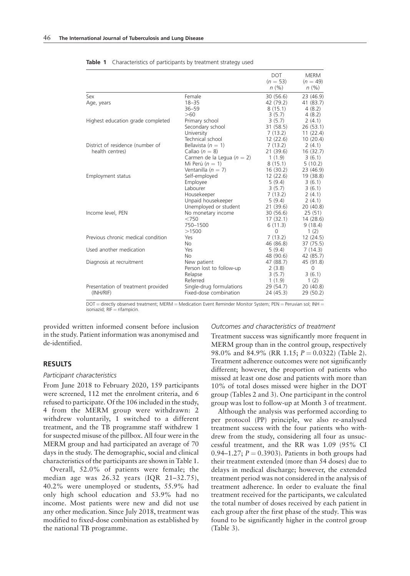|                                                     |                                                                                                                | <b>DOT</b><br>$(n = 53)$<br>n(%)                                             | <b>MERM</b><br>$(n = 49)$<br>$n (\%)$                                 |
|-----------------------------------------------------|----------------------------------------------------------------------------------------------------------------|------------------------------------------------------------------------------|-----------------------------------------------------------------------|
| Sex<br>Age, years                                   | Female<br>$18 - 35$<br>$36 - 59$<br>>60                                                                        | 30(56.6)<br>42 (79.2)<br>8(15.1)<br>3(5.7)                                   | 23(46.9)<br>41 (83.7)<br>4(8.2)                                       |
| Highest education grade completed                   | Primary school<br>Secondary school<br>University                                                               | 3(5.7)<br>31 (58.5)<br>7(13.2)                                               | 4(8.2)<br>2(4.1)<br>26(53.1)<br>11(22.4)                              |
| District of residence (number of<br>health centres) | Technical school<br>Bellavista ( $n = 1$ )<br>Callao $(n = 8)$<br>Carmen de la Legua ( $n = 2$ )               | 12(22.6)<br>7(13.2)<br>21(39.6)<br>1(1.9)                                    | 10(20.4)<br>2(4.1)<br>16(32.7)<br>3(6.1)                              |
| Employment status                                   | Mi Perú ( $n = 1$ )<br>Ventanilla ( $n = 7$ )<br>Self-employed<br>Employee<br>Labourer                         | 8(15.1)<br>16(30.2)<br>12(22.6)<br>5(9.4)<br>3(5.7)                          | 5(10.2)<br>23 (46.9)<br>19 (38.8)<br>3(6.1)<br>3(6.1)                 |
| Income level, PEN                                   | Housekeeper<br>Unpaid housekeeper<br>Unemployed or student<br>No monetary income<br>< 750<br>750-1500<br>>1500 | 7(13.2)<br>5(9.4)<br>21(39.6)<br>30(56.6)<br>17(32.1)<br>6(11.3)<br>$\Omega$ | 2(4.1)<br>2(4.1)<br>20(40.8)<br>25(51)<br>14(28.6)<br>9(18.4)<br>1(2) |
| Previous chronic medical condition                  | Yes                                                                                                            | 7(13.2)                                                                      | 12(24.5)                                                              |
| Used another medication                             | No.<br>Yes<br><b>No</b>                                                                                        | 46 (86.8)<br>5(9.4)<br>48 (90.6)                                             | 37 (75.5)<br>7(14.3)<br>42 (85.7)                                     |
| Diagnosis at recruitment                            | New patient<br>Person lost to follow-up<br>Relapse                                                             | 47 (88.7)<br>2(3.8)<br>3(5.7)                                                | 45 (91.8)<br>$\Omega$<br>3(6.1)                                       |
| Presentation of treatment provided<br>(INH/RIF)     | Referred<br>Single-drug formulations<br>Fixed-dose combination                                                 | 1(1.9)<br>29 (54.7)<br>24 (45.3)                                             | 1(2)<br>20(40.8)<br>29 (50.2)                                         |

Table 1 Characteristics of participants by treatment strategy used

DOT = directly observed treatment; MERM = Medication Event Reminder Monitor System; PEN = Peruvian sol; INH =<br>isoniazid; RIF = rifampicin.

provided written informed consent before inclusion in the study. Patient information was anonymised and de-identified.

## RESULTS

### Participant characteristics

From June 2018 to February 2020, 159 participants were screened, 112 met the enrolment criteria, and 6 refused to participate. Of the 106 included in the study, 4 from the MERM group were withdrawn: 2 withdrew voluntarily, 1 switched to a different treatment, and the TB programme staff withdrew 1 for suspected misuse of the pillbox. All four were in the MERM group and had participated an average of 70 days in the study. The demographic, social and clinical characteristics of the participants are shown in Table 1.

Overall, 52.0% of patients were female; the median age was 26.32 years (IQR 21–32.75), 40.2% were unemployed or students, 55.9% had only high school education and 53.9% had no income. Most patients were new and did not use any other medication. Since July 2018, treatment was modified to fixed-dose combination as established by the national TB programme.

#### Outcomes and characteristics of treatment

Treatment success was significantly more frequent in MERM group than in the control group, respectively 98.0% and 84.9% (RR 1.15;  $P = 0.0322$ ) (Table 2). Treatment adherence outcomes were not significantly different; however, the proportion of patients who missed at least one dose and patients with more than 10% of total doses missed were higher in the DOT group (Tables 2 and 3). One participant in the control group was lost to follow-up at Month 3 of treatment.

Although the analysis was performed according to per protocol (PP) principle, we also re-analysed treatment success with the four patients who withdrew from the study, considering all four as unsuccessful treatment, and the RR was 1.09 (95% CI 0.94–1.27;  $P = 0.3903$ . Patients in both groups had their treatment extended (more than 54 doses) due to delays in medical discharge; however, the extended treatment period was not considered in the analysis of treatment adherence. In order to evaluate the final treatment received for the participants, we calculated the total number of doses received by each patient in each group after the first phase of the study. This was found to be significantly higher in the control group (Table 3).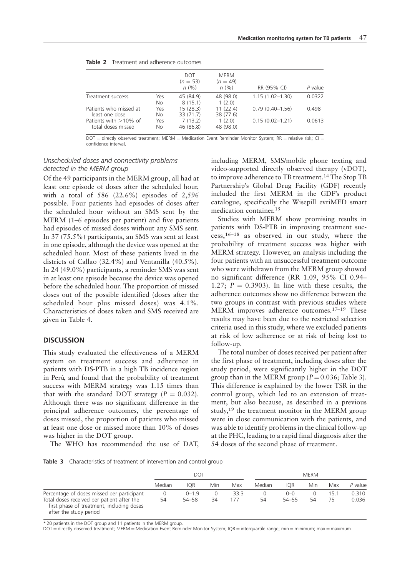| <b>Table 2</b> Treatment and adherence outcomes |
|-------------------------------------------------|
|                                                 |

|     | <b>DOT</b><br>$(n = 53)$ | MERM<br>$(n = 49)$                       |                                          | P value                                                   |
|-----|--------------------------|------------------------------------------|------------------------------------------|-----------------------------------------------------------|
|     |                          |                                          |                                          |                                                           |
|     |                          |                                          |                                          | 0.0322                                                    |
| No  | 8(15.1)                  | 1(2.0)                                   |                                          |                                                           |
| Yes | 15(28.3)                 | 11(22.4)                                 | $0.79(0.40 - 1.56)$                      | 0.498                                                     |
|     |                          |                                          |                                          |                                                           |
|     |                          |                                          |                                          | 0.0613                                                    |
| No  | 46 (86.8)                | 48 (98.0)                                |                                          |                                                           |
|     | Yes<br>No<br>Yes         | n(%)<br>45 (84.9)<br>33(71.7)<br>7(13.2) | n(%)<br>48 (98.0)<br>38 (77.6)<br>1(2.0) | RR (95% CI)<br>$1.15(1.02 - 1.30)$<br>$0.15(0.02 - 1.21)$ |

 $DOT =$  directly observed treatment; MERM = Medication Event Reminder Monitor System; RR = relative risk; CI = confidence interval.

# Unscheduled doses and connectivity problems detected in the MERM group

Of the 49 participants in the MERM group, all had at least one episode of doses after the scheduled hour, with a total of 586 (22.6%) episodes of 2,596 possible. Four patients had episodes of doses after the scheduled hour without an SMS sent by the MERM (1–6 episodes per patient) and five patients had episodes of missed doses without any SMS sent. In 37 (75.5%) participants, an SMS was sent at least in one episode, although the device was opened at the scheduled hour. Most of these patients lived in the districts of Callao (32.4%) and Ventanilla (40.5%). In 24 (49.0%) participants, a reminder SMS was sent in at least one episode because the device was opened before the scheduled hour. The proportion of missed doses out of the possible identified (doses after the scheduled hour plus missed doses) was 4.1%. Characteristics of doses taken and SMS received are given in Table 4.

## **DISCUSSION**

This study evaluated the effectiveness of a MERM system on treatment success and adherence in patients with DS-PTB in a high TB incidence region in Perú, and found that the probability of treatment success with MERM strategy was 1.15 times than that with the standard DOT strategy ( $P = 0.032$ ). Although there was no significant difference in the principal adherence outcomes, the percentage of doses missed, the proportion of patients who missed at least one dose or missed more than 10% of doses was higher in the DOT group.

The WHO has recommended the use of DAT,

including MERM, SMS/mobile phone texting and video-supported directly observed therapy (vDOT), to improve adherence to TB treatment.<sup>14</sup> The Stop TB Partnership's Global Drug Facility (GDF) recently included the first MERM in the GDF's product catalogue, specifically the Wisepill evriMED smart medication container.<sup>15</sup>

Studies with MERM show promising results in patients with DS-PTB in improving treatment success,16–18 as observed in our study, where the probability of treatment success was higher with MERM strategy. However, an analysis including the four patients with an unsuccessful treatment outcome who were withdrawn from the MERM group showed no significant difference (RR 1.09, 95% CI 0.94– 1.27;  $P = 0.3903$ . In line with these results, the adherence outcomes show no difference between the two groups in contrast with previous studies where MERM improves adherence outcomes.17–19 These results may have been due to the restricted selection criteria used in this study, where we excluded patients at risk of low adherence or at risk of being lost to follow-up.

The total number of doses received per patient after the first phase of treatment, including doses after the study period, were significantly higher in the DOT group than in the MERM group ( $P = 0.036$ ; Table 3). This difference is explained by the lower TSR in the control group, which led to an extension of treatment, but also because, as described in a previous study, $19$  the treatment monitor in the MERM group were in close communication with the patients, and was able to identify problems in the clinical follow-up at the PHC, leading to a rapid final diagnosis after the 54 doses of the second phase of treatment.

Table 3 Characteristics of treatment of intervention and control group

|                                                                                                                   | DOT    |            |          | <b>MERM</b> |        |            |     |      |         |
|-------------------------------------------------------------------------------------------------------------------|--------|------------|----------|-------------|--------|------------|-----|------|---------|
|                                                                                                                   | Median | <b>IOR</b> | Min      | Max         | Median | <b>IOR</b> | Min | Max  | P value |
| Percentage of doses missed per participant                                                                        | 0      | $0 - 1.9$  | $\Omega$ | 33.3        |        | $0 - 0$    |     | 15.1 | 0.310   |
| Total doses received per patient after the<br>first phase of treatment, including doses<br>after the study period | 54     | 54–58      | 34       | 177         | 54     | 54–55      | 54  | 75   | 0.036   |

\* 20 patients in the DOT group and 11 patients in the MERM group.

 $DOT =$  directly observed treatment; MERM = Medication Event Reminder Monitor System; IQR = interquartile range; min = minimum; max = maximum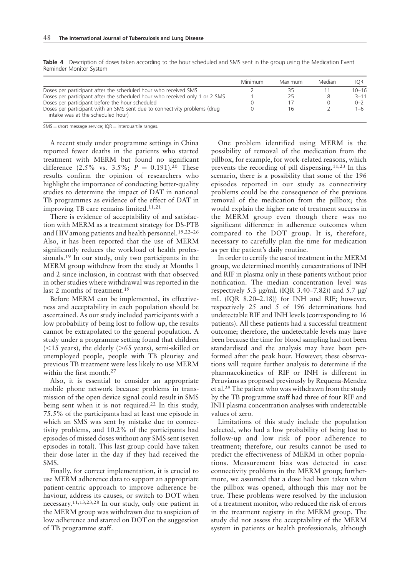|                                                                                                                | Minimum | Maximum | Median | IOR.      |
|----------------------------------------------------------------------------------------------------------------|---------|---------|--------|-----------|
| Doses per participant after the scheduled hour who received SMS                                                |         |         |        | $10 - 16$ |
| Doses per participant after the scheduled hour who received only 1 or 2 SMS                                    |         |         | 8      | $3 - 11$  |
| Doses per participant before the hour scheduled                                                                |         |         |        | $0 - 2$   |
| Doses per participant with an SMS sent due to connectivity problems (drug<br>intake was at the scheduled hour) |         | Ίh      |        | 1-6       |

Table 4 Description of doses taken according to the hour scheduled and SMS sent in the group using the Medication Event Reminder Monitor System

 $SMS = short$  message service;  $IQR =$  interquartile ranges.

A recent study under programme settings in China reported fewer deaths in the patients who started treatment with MERM but found no significant difference (2.5% vs. 3.5%;  $P = 0.191$ ).<sup>20</sup> These results confirm the opinion of researchers who highlight the importance of conducting better-quality studies to determine the impact of DAT in national TB programmes as evidence of the effect of DAT in improving TB care remains limited.<sup>11,21</sup>

There is evidence of acceptability of and satisfaction with MERM as a treatment strategy for DS-PTB and HIV among patients and health personnel.19,22–26 Also, it has been reported that the use of MERM significantly reduces the workload of health professionals.<sup>19</sup> In our study, only two participants in the MERM group withdrew from the study at Months 1 and 2 since inclusion, in contrast with that observed in other studies where withdrawal was reported in the last 2 months of treatment.<sup>19</sup>

Before MERM can be implemented, its effectiveness and acceptability in each population should be ascertained. As our study included participants with a low probability of being lost to follow-up, the results cannot be extrapolated to the general population. A study under a programme setting found that children  $(<15$  years), the elderly ( $>65$  years), semi-skilled or unemployed people, people with TB pleurisy and previous TB treatment were less likely to use MERM within the first month.<sup>27</sup>

Also, it is essential to consider an appropriate mobile phone network because problems in transmission of the open device signal could result in SMS being sent when it is not required.<sup>22</sup> In this study, 75.5% of the participants had at least one episode in which an SMS was sent by mistake due to connectivity problems, and 10.2% of the participants had episodes of missed doses without any SMS sent (seven episodes in total). This last group could have taken their dose later in the day if they had received the SMS.

Finally, for correct implementation, it is crucial to use MERM adherence data to support an appropriate patient-centric approach to improve adherence behaviour, address its causes, or switch to DOT when necessary.11,13,23,28 In our study, only one patient in the MERM group was withdrawn due to suspicion of low adherence and started on DOT on the suggestion of TB programme staff.

One problem identified using MERM is the possibility of removal of the medication from the pillbox, for example, for work-related reasons, which prevents the recording of pill dispensing.11,23 In this scenario, there is a possibility that some of the 196 episodes reported in our study as connectivity problems could be the consequence of the previous removal of the medication from the pillbox; this would explain the higher rate of treatment success in the MERM group even though there was no significant difference in adherence outcomes when compared to the DOT group. It is, therefore, necessary to carefully plan the time for medication as per the patient's daily routine.

In order to certify the use of treatment in the MERM group, we determined monthly concentrations of INH and RIF in plasma only in these patients without prior notification. The median concentration level was respectively 5.3  $\mu$ g/mL (IQR 3.40–7.82)) and 5.7  $\mu$ g/ mL (IQR 8.20–2.18)) for INH and RIF; however, respectively 25 and 5 of 196 determinations had undetectable RIF and INH levels (corresponding to 16 patients). All these patients had a successful treatment outcome; therefore, the undetectable levels may have been because the time for blood sampling had not been standardised and the analysis may have been performed after the peak hour. However, these observations will require further analysis to determine if the pharmacokinetics of RIF or INH is different in Peruvians as proposed previously by Requena-Mendez et al.29 The patient who was withdrawn from the study by the TB programme staff had three of four RIF and INH plasma concentration analyses with undetectable values of zero.

Limitations of this study include the population selected, who had a low probability of being lost to follow-up and low risk of poor adherence to treatment; therefore, our results cannot be used to predict the effectiveness of MERM in other populations. Measurement bias was detected in case connectivity problems in the MERM group; furthermore, we assumed that a dose had been taken when the pillbox was opened, although this may not be true. These problems were resolved by the inclusion of a treatment monitor, who reduced the risk of errors in the treatment registry in the MERM group. The study did not assess the acceptability of the MERM system in patients or health professionals, although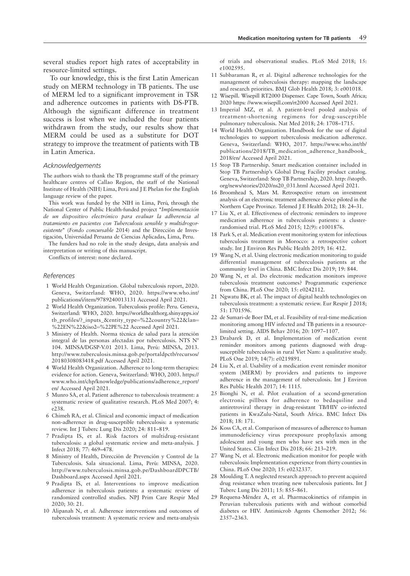several studies report high rates of acceptability in resource-limited settings.

To our knowledge, this is the first Latin American study on MERM technology in TB patients. The use of MERM led to a significant improvement in TSR and adherence outcomes in patients with DS-PTB. Although the significant difference in treatment success is lost when we included the four patients withdrawn from the study, our results show that MERM could be used as a substitute for DOT strategy to improve the treatment of patients with TB in Latin America.

## Acknowledgements

The authors wish to thank the TB programme staff of the primary healthcare centres of Callao Region, the staff of the National Institute of Health (NIH) Lima, Perú and J E Phelan for the English language review of the paper.

This work was funded by the NIH in Lima, Perú, through the National Center of Public Health-funded project "Implementación de un dispositivo electrónico para evaluar la adherencia al tratamiento en pacientes con Tuberculosis sensible y multidrogoresistente" (Fondo concursable 2014) and the Dirección de Investigacion, Universidad Peruana de Ciencias Aplicadas, Lima, Peru. ´

The funders had no role in the study design, data analysis and interpretation or writing of this manuscript.

Conflicts of interest: none declared.

#### References

- 1 World Health Organization. Global tuberculosis report, 2020. Geneva, Switzerland: WHO, 2020. https://www.who.int/ publications/i/item/9789240013131 Accessed April 2021.
- 2 World Health Organization. Tuberculosis profile: Peru. Geneva, Switzerland: WHO, 2020. https://worldhealthorg.shinyapps.io/ tb\_profiles/?\_inputs\_&entity\_type=%22country%22&lan= %22EN%22&iso2=%22PE%22 Accessed April 2021.
- 3 Ministry of Health. Norma técnica de salud para la atención integral de las personas afectadas por tuberculosis. NTS  $N^{\circ}$ 104. MINSA/DGSP-V.01 2013. Lima, Perú: MINSA, 2013. http://www.tuberculosis.minsa.gob.pe/portaldpctb/recursos/ 20180308083418.pdf Accessed April 2021.
- 4 World Health Organization. Adherence to long-term therapies: evidence for action. Geneva, Switzerland: WHO, 2003. https:// www.who.int/chp/knowledge/publications/adherence\_report/ en/ Accessed April 2021.
- 5 Munro SA, et al. Patient adherence to tuberculosis treatment: a systematic review of qualitative research. PLoS Med 2007; 4: e238.
- 6 Chimeh RA, et al. Clinical and economic impact of medication non-adherence in drug-susceptible tuberculosis: a systematic review. Int J Tuberc Lung Dis 2020; 24: 811–819.
- 7 Pradipta IS, et al. Risk factors of multidrug-resistant tuberculosis: a global systematic review and meta-analysis. J Infect 2018; 77: 469–478.
- 8 Ministry of Health, Dirección de Prevención y Control de la Tuberculosis. Sala situacional. Lima, Perú: MINSA, 2020. http://www.tuberculosis.minsa.gob.pe/DashboardDPCTB/ Dashboard.aspx Accessed April 2021.
- 9 Pradipta IS, et al. Interventions to improve medication adherence in tuberculosis patients: a systematic review of randomized controlled studies. NPJ Prim Care Respir Med 2020; 30: 21.
- 10 Alipanah N, et al. Adherence interventions and outcomes of tuberculosis treatment: A systematic review and meta-analysis

of trials and observational studies. PLoS Med 2018; 15: e1002595.

- 11 Subbaraman R, et al. Digital adherence technologies for the management of tuberculosis therapy: mapping the landscape and research priorities. BMJ Glob Health 2018; 3: e001018.
- 12 Wisepill. Wisepill RT2000 Dispenser. Cape Town, South Africa; 2020 https: //www.wisepill.com/rt2000 Accessed April 2021.
- 13 Imperial MZ, et al. A patient-level pooled analysis of treatment-shortening regimens for drug-susceptible pulmonary tuberculosis. Nat Med 2018; 24: 1708–1715.
- 14 World Health Organization. Handbook for the use of digital technologies to support tuberculosis medication adherence. Geneva, Switzerland: WHO, 2017. https://www.who.int/tb/ publications/2018/TB\_medication\_adherence\_handbook\_ 2018/en/ Accessed April 2021.
- 15 Stop TB Partnership. Smart medication container included in Stop TB Partnership's Global Drug Facility product catalog. Geneva, Switzerland: Stop TB Partnership, 2020. http: //stoptb. org/news/stories/2020/ns20\_031.html Accessed April 2021.
- 16 Broomhead S, Mars M. Retrospective return on investment analysis of an electronic treatment adherence device piloted in the Northern Cape Province. Telemed J E Health 2012; 18: 24–31.
- 17 Liu X, et al. Effectiveness of electronic reminders to improve medication adherence in tuberculosis patients: a clusterrandomised trial. PLoS Med 2015; 12(9): e1001876.
- 18 Park S, et al. Medication event monitoring system for infectious tuberculosis treatment in Morocco: a retrospective cohort study. Int J Environ Res Public Health 2019; 16: 412.
- 19 Wang N, et al. Using electronic medication monitoring to guide differential management of tuberculosis patients at the community level in China. BMC Infect Dis 2019; 19: 844.
- 20 Wang N, et al. Do electronic medication monitors improve tuberculosis treatment outcomes? Programmatic experience from China. PLoS One 2020; 15: e0242112.
- 21 Ngwatu BK, et al. The impact of digital health technologies on tuberculosis treatment: a systematic review. Eur Respir J 2018; 51: 1701596.
- 22 de Sumari-de Boer IM, et al. Feasibility of real-time medication monitoring among HIV infected and TB patients in a resourcelimited setting. AIDS Behav 2016; 20: 1097–1107.
- 23 Drabarek D, et al. Implementation of medication event reminder monitors among patients diagnosed with drugsusceptible tuberculosis in rural Viet Nam: a qualitative study. PLoS One 2019; 14(7): e0219891.
- 24 Liu X, et al. Usability of a medication event reminder monitor system (MERM) by providers and patients to improve adherence in the management of tuberculosis. Int J Environ Res Public Health 2017; 14: 1115.
- 25 Bionghi N, et al. Pilot evaluation of a second-generation electronic pillbox for adherence to bedaquiline and antiretroviral therapy in drug-resistant TB/HIV co-infected patients in KwaZulu-Natal, South Africa. BMC Infect Dis 2018; 18: 171.
- 26 Koss CA, et al. Comparison of measures of adherence to human immunodeficiency virus preexposure prophylaxis among adolescent and young men who have sex with men in the United States. Clin Infect Dis 2018; 66: 213–219.
- 27 Wang N, et al. Electronic medication monitor for people with tuberculosis: Implementation experience from thirty counties in China. PLoS One 2020; 15: e0232337.
- 28 Moulding T. A neglected research approach to prevent acquired drug resistance when treating new tuberculosis patients. Int J Tuberc Lung Dis 2011; 15: 855–861.
- 29 Requena-Mendez A, et al. Pharmacokinetics of rifampin in ´ Peruvian tuberculosis patients with and without comorbid diabetes or HIV. Antimicrob Agents Chemother 2012; 56: 2357–2363.